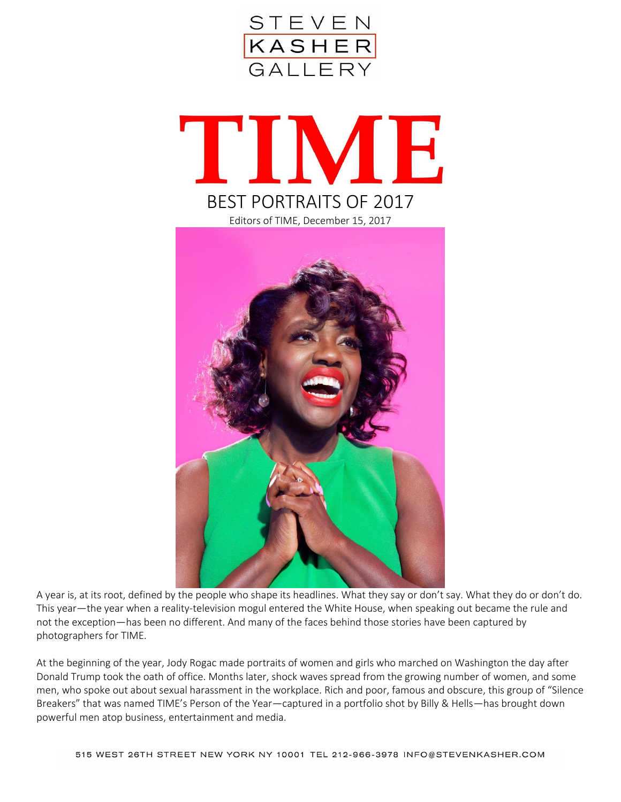





A year is, at its root, defined by the people who shape its headlines. What they say or don't say. What they do or don't do. This year—the year when a reality-television mogul entered the White House, when speaking out became the rule and not the exception—has been no different. And many of the faces behind those stories have been captured by photographers for TIME.

At the beginning of the year, Jody Rogac made portraits of women and girls who marched on Washington the day after Donald Trump took the oath of office. Months later, shock waves spread from the growing number of women, and some men, who spoke out about sexual harassment in the workplace. Rich and poor, famous and obscure, this group of "Silence Breakers" that was named TIME's Person of the Year—captured in a portfolio shot by Billy & Hells—has brought down powerful men atop business, entertainment and media.